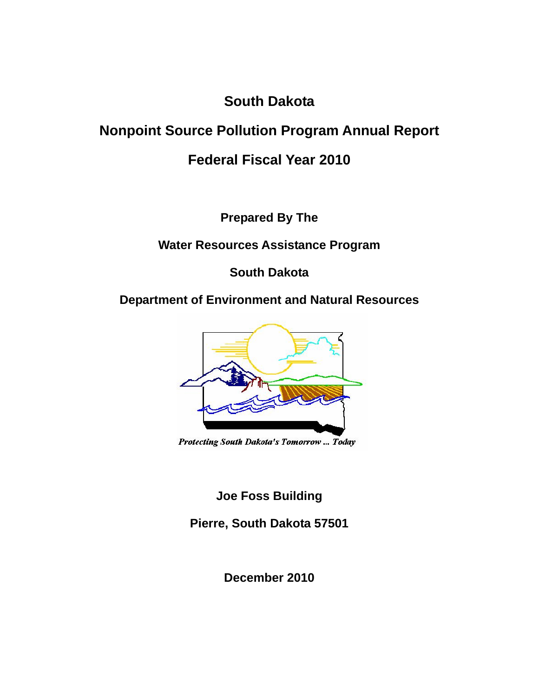# **South Dakota**

# **Nonpoint Source Pollution Program Annual Report**

# **Federal Fiscal Year 2010**

**Prepared By The** 

**Water Resources Assistance Program** 

**South Dakota** 

# **Department of Environment and Natural Resources**



Protecting South Dakota's Tomorrow ... Today

**Joe Foss Building** 

**Pierre, South Dakota 57501** 

**December 2010**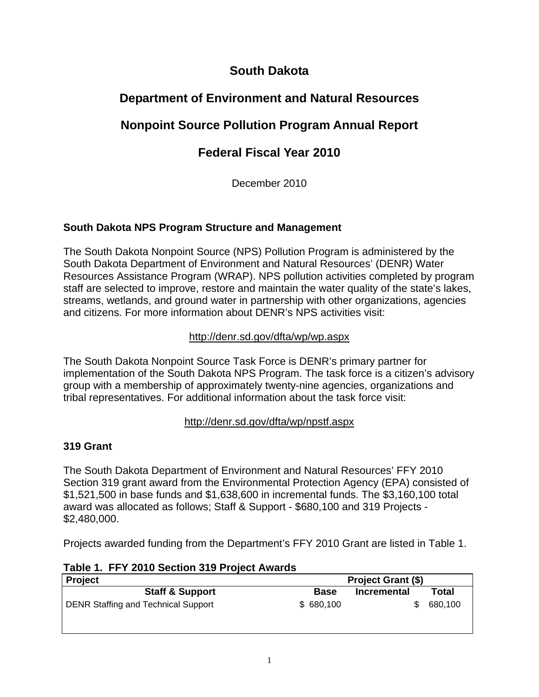## **South Dakota**

# **Department of Environment and Natural Resources**

# **Nonpoint Source Pollution Program Annual Report**

# **Federal Fiscal Year 2010**

December 2010

## **South Dakota NPS Program Structure and Management**

The South Dakota Nonpoint Source (NPS) Pollution Program is administered by the South Dakota Department of Environment and Natural Resources' (DENR) Water Resources Assistance Program (WRAP). NPS pollution activities completed by program staff are selected to improve, restore and maintain the water quality of the state's lakes, streams, wetlands, and ground water in partnership with other organizations, agencies and citizens. For more information about DENR's NPS activities visit:

## http://denr.sd.gov/dfta/wp/wp.aspx

The South Dakota Nonpoint Source Task Force is DENR's primary partner for implementation of the South Dakota NPS Program. The task force is a citizen's advisory group with a membership of approximately twenty-nine agencies, organizations and tribal representatives. For additional information about the task force visit:

## http://denr.sd.gov/dfta/wp/npstf.aspx

## **319 Grant**

The South Dakota Department of Environment and Natural Resources' FFY 2010 Section 319 grant award from the Environmental Protection Agency (EPA) consisted of \$1,521,500 in base funds and \$1,638,600 in incremental funds. The \$3,160,100 total award was allocated as follows; Staff & Support - \$680,100 and 319 Projects - \$2,480,000.

Projects awarded funding from the Department's FFY 2010 Grant are listed in Table 1.

**Table 1. FFY 2010 Section 319 Project Awards** 

| <b>Project</b>                             | <b>Project Grant (\$)</b> |             |         |
|--------------------------------------------|---------------------------|-------------|---------|
| <b>Staff &amp; Support</b>                 | <b>Base</b>               | Incremental | Total   |
| <b>DENR Staffing and Technical Support</b> | \$680,100                 |             | 680,100 |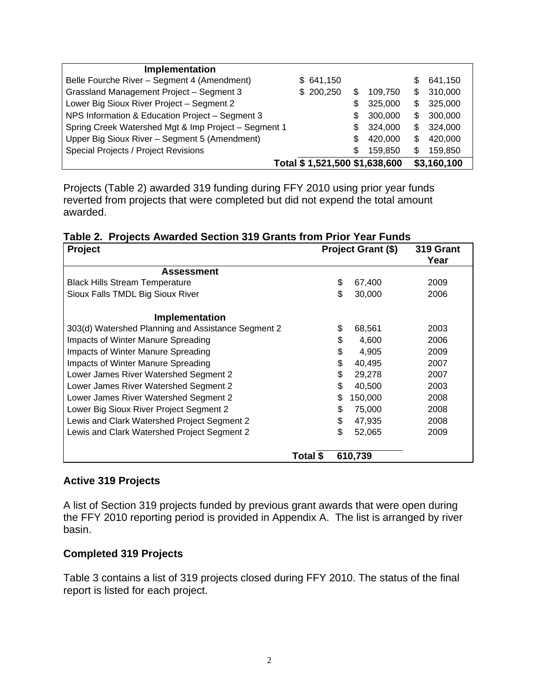| <b>Implementation</b>                                |                               |    |         |    |             |
|------------------------------------------------------|-------------------------------|----|---------|----|-------------|
| Belle Fourche River - Segment 4 (Amendment)          | \$641,150                     |    |         | S  | 641,150     |
| Grassland Management Project - Segment 3             | \$200,250                     |    | 109.750 | \$ | 310,000     |
| Lower Big Sioux River Project - Segment 2            |                               | \$ | 325,000 | \$ | 325,000     |
| NPS Information & Education Project - Segment 3      |                               | S  | 300,000 | \$ | 300,000     |
| Spring Creek Watershed Mgt & Imp Project - Segment 1 |                               | S  | 324,000 | \$ | 324,000     |
| Upper Big Sioux River - Segment 5 (Amendment)        |                               | S  | 420,000 | S  | 420,000     |
| Special Projects / Project Revisions                 |                               | \$ | 159,850 | S  | 159,850     |
|                                                      | Total \$1,521,500 \$1,638,600 |    |         |    | \$3,160,100 |

Projects (Table 2) awarded 319 funding during FFY 2010 using prior year funds reverted from projects that were completed but did not expend the total amount awarded.

|  |  |  |  |  |  |  |  | Table 2. Projects Awarded Section 319 Grants from Prior Year Funds |  |
|--|--|--|--|--|--|--|--|--------------------------------------------------------------------|--|
|--|--|--|--|--|--|--|--|--------------------------------------------------------------------|--|

| Project                                            | Project Grant (\$) |     | 319 Grant<br>Year |      |
|----------------------------------------------------|--------------------|-----|-------------------|------|
| <b>Assessment</b>                                  |                    |     |                   |      |
| <b>Black Hills Stream Temperature</b>              |                    | \$  | 67,400            | 2009 |
| Sioux Falls TMDL Big Sioux River                   |                    | \$. | 30,000            | 2006 |
| Implementation                                     |                    |     |                   |      |
| 303(d) Watershed Planning and Assistance Segment 2 |                    | \$  | 68,561            | 2003 |
| Impacts of Winter Manure Spreading                 |                    | \$  | 4,600             | 2006 |
| Impacts of Winter Manure Spreading                 |                    | \$  | 4,905             | 2009 |
| Impacts of Winter Manure Spreading                 |                    | \$  | 40.495            | 2007 |
| Lower James River Watershed Segment 2              |                    | \$  | 29,278            | 2007 |
| Lower James River Watershed Segment 2              |                    | \$  | 40,500            | 2003 |
| Lower James River Watershed Segment 2              |                    | \$  | 150,000           | 2008 |
| Lower Big Sioux River Project Segment 2            |                    | \$  | 75,000            | 2008 |
| Lewis and Clark Watershed Project Segment 2        |                    | \$  | 47,935            | 2008 |
| Lewis and Clark Watershed Project Segment 2        |                    | \$  | 52,065            | 2009 |
|                                                    | Total \$           |     | 610,739           |      |

#### **Active 319 Projects**

A list of Section 319 projects funded by previous grant awards that were open during the FFY 2010 reporting period is provided in Appendix A. The list is arranged by river basin.

#### **Completed 319 Projects**

Table 3 contains a list of 319 projects closed during FFY 2010. The status of the final report is listed for each project.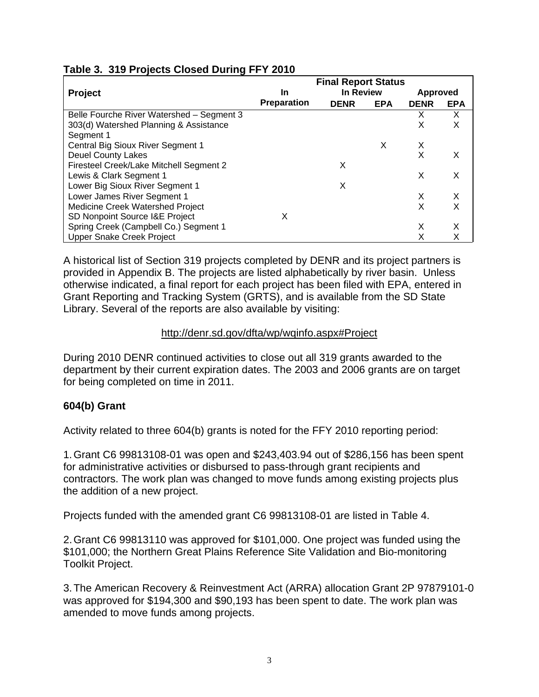|                                           | <b>Final Report Status</b> |             |            |                 |            |  |  |  |
|-------------------------------------------|----------------------------|-------------|------------|-----------------|------------|--|--|--|
| <b>Project</b>                            | In                         | In Review   |            | <b>Approved</b> |            |  |  |  |
|                                           | <b>Preparation</b>         | <b>DENR</b> | <b>EPA</b> | <b>DENR</b>     | <b>EPA</b> |  |  |  |
| Belle Fourche River Watershed - Segment 3 |                            |             |            | х               | X          |  |  |  |
| 303(d) Watershed Planning & Assistance    |                            |             |            | X               | X          |  |  |  |
| Segment 1                                 |                            |             |            |                 |            |  |  |  |
| Central Big Sioux River Segment 1         |                            |             | х          | X               |            |  |  |  |
| <b>Deuel County Lakes</b>                 |                            |             |            | X               | X          |  |  |  |
| Firesteel Creek/Lake Mitchell Segment 2   |                            | X           |            |                 |            |  |  |  |
| Lewis & Clark Segment 1                   |                            |             |            | X               | X          |  |  |  |
| Lower Big Sioux River Segment 1           |                            | X           |            |                 |            |  |  |  |
| Lower James River Segment 1               |                            |             |            | X               | X          |  |  |  |
| <b>Medicine Creek Watershed Project</b>   |                            |             |            | X               | X          |  |  |  |
| SD Nonpoint Source I&E Project            | х                          |             |            |                 |            |  |  |  |
| Spring Creek (Campbell Co.) Segment 1     |                            |             |            | X               | Χ          |  |  |  |
| <b>Upper Snake Creek Project</b>          |                            |             |            |                 |            |  |  |  |

## **Table 3. 319 Projects Closed During FFY 2010**

A historical list of Section 319 projects completed by DENR and its project partners is provided in Appendix B. The projects are listed alphabetically by river basin. Unless otherwise indicated, a final report for each project has been filed with EPA, entered in Grant Reporting and Tracking System (GRTS), and is available from the SD State Library. Several of the reports are also available by visiting:

## http://denr.sd.gov/dfta/wp/wqinfo.aspx#Project

During 2010 DENR continued activities to close out all 319 grants awarded to the department by their current expiration dates. The 2003 and 2006 grants are on target for being completed on time in 2011.

## **604(b) Grant**

Activity related to three 604(b) grants is noted for the FFY 2010 reporting period:

1. Grant C6 99813108-01 was open and \$243,403.94 out of \$286,156 has been spent for administrative activities or disbursed to pass-through grant recipients and contractors. The work plan was changed to move funds among existing projects plus the addition of a new project.

Projects funded with the amended grant C6 99813108-01 are listed in Table 4.

2. Grant C6 99813110 was approved for \$101,000. One project was funded using the \$101,000; the Northern Great Plains Reference Site Validation and Bio-monitoring Toolkit Project.

3. The American Recovery & Reinvestment Act (ARRA) allocation Grant 2P 97879101-0 was approved for \$194,300 and \$90,193 has been spent to date. The work plan was amended to move funds among projects.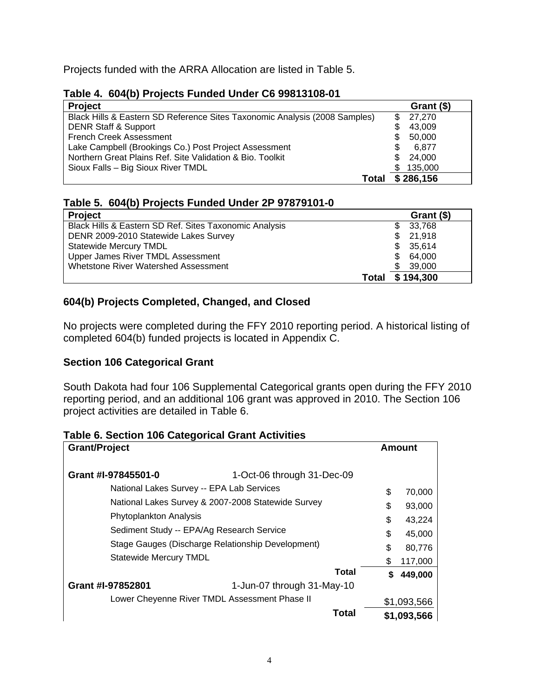Projects funded with the ARRA Allocation are listed in Table 5.

| Table 4.  604(b) Projects Funded Under C6 99813108-01                      |     |            |
|----------------------------------------------------------------------------|-----|------------|
| <b>Project</b>                                                             |     | Grant (\$) |
| Black Hills & Eastern SD Reference Sites Taxonomic Analysis (2008 Samples) | S   | 27,270     |
| <b>DENR Staff &amp; Support</b>                                            |     | 43.009     |
| <b>French Creek Assessment</b>                                             | \$  | 50,000     |
| Lake Campbell (Brookings Co.) Post Project Assessment                      |     | 6.877      |
| Northern Great Plains Ref. Site Validation & Bio. Toolkit                  | \$. | 24,000     |
| Sioux Falls - Big Sioux River TMDL                                         | \$. | 135,000    |
| Total                                                                      |     | \$286,156  |

## **Table 4. 604(b) Projects Funded Under C6 99813108-01**

## **Table 5. 604(b) Projects Funded Under 2P 97879101-0**

| <b>Project</b>                                         |       | Grant (\$) |
|--------------------------------------------------------|-------|------------|
| Black Hills & Eastern SD Ref. Sites Taxonomic Analysis | S.    | 33,768     |
| DENR 2009-2010 Statewide Lakes Survey                  | \$.   | 21,918     |
| <b>Statewide Mercury TMDL</b>                          | S.    | 35,614     |
| Upper James River TMDL Assessment                      | S.    | 64.000     |
| Whetstone River Watershed Assessment                   |       | 39,000     |
|                                                        | Total | \$194,300  |

## **604(b) Projects Completed, Changed, and Closed**

No projects were completed during the FFY 2010 reporting period. A historical listing of completed 604(b) funded projects is located in Appendix C.

#### **Section 106 Categorical Grant**

South Dakota had four 106 Supplemental Categorical grants open during the FFY 2010 reporting period, and an additional 106 grant was approved in 2010. The Section 106 project activities are detailed in Table 6.

#### **Table 6. Section 106 Categorical Grant Activities**

| <b>Grant/Project</b>                               |                            |    | Amount      |
|----------------------------------------------------|----------------------------|----|-------------|
| Grant #I-97845501-0                                | 1-Oct-06 through 31-Dec-09 |    |             |
| National Lakes Survey -- EPA Lab Services          |                            | \$ | 70,000      |
| National Lakes Survey & 2007-2008 Statewide Survey |                            | \$ | 93,000      |
| Phytoplankton Analysis                             |                            | \$ | 43,224      |
| Sediment Study -- EPA/Ag Research Service          |                            | \$ | 45,000      |
| Stage Gauges (Discharge Relationship Development)  |                            | \$ | 80,776      |
| <b>Statewide Mercury TMDL</b>                      |                            | S  | 117,000     |
|                                                    | Total                      | S  | 449,000     |
| Grant #I-97852801                                  | 1-Jun-07 through 31-May-10 |    |             |
| Lower Cheyenne River TMDL Assessment Phase II      |                            |    | \$1,093,566 |
|                                                    | Total                      |    | \$1,093,566 |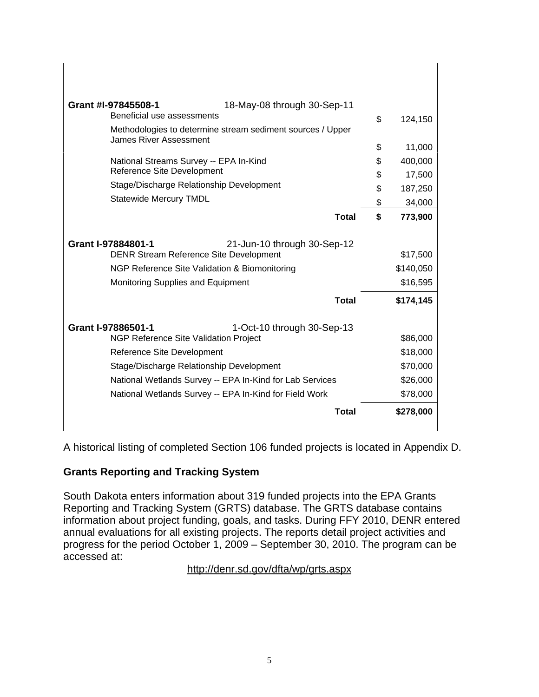| Grant #I-97845508-1<br>18-May-08 through 30-Sep-11                           |               |
|------------------------------------------------------------------------------|---------------|
| Beneficial use assessments                                                   | \$<br>124,150 |
| Methodologies to determine stream sediment sources / Upper                   |               |
| <b>James River Assessment</b>                                                | \$<br>11,000  |
| National Streams Survey -- EPA In-Kind                                       | \$<br>400,000 |
| Reference Site Development                                                   | \$<br>17,500  |
| Stage/Discharge Relationship Development                                     | \$<br>187,250 |
| <b>Statewide Mercury TMDL</b>                                                | \$<br>34,000  |
| <b>Total</b>                                                                 | \$<br>773,900 |
| Grant I-97884801-1                                                           |               |
| 21-Jun-10 through 30-Sep-12<br><b>DENR Stream Reference Site Development</b> | \$17,500      |
| NGP Reference Site Validation & Biomonitoring                                | \$140,050     |
| Monitoring Supplies and Equipment                                            | \$16,595      |
| <b>Total</b>                                                                 | \$174,145     |
| Grant I-97886501-1<br>1-Oct-10 through 30-Sep-13                             |               |
| <b>NGP Reference Site Validation Project</b>                                 | \$86,000      |
| Reference Site Development                                                   | \$18,000      |
| Stage/Discharge Relationship Development                                     | \$70,000      |
| National Wetlands Survey -- EPA In-Kind for Lab Services                     | \$26,000      |
| National Wetlands Survey -- EPA In-Kind for Field Work                       | \$78,000      |
| Total                                                                        | \$278,000     |
|                                                                              |               |

A historical listing of completed Section 106 funded projects is located in Appendix D.

## **Grants Reporting and Tracking System**

South Dakota enters information about 319 funded projects into the EPA Grants Reporting and Tracking System (GRTS) database. The GRTS database contains information about project funding, goals, and tasks. During FFY 2010, DENR entered annual evaluations for all existing projects. The reports detail project activities and progress for the period October 1, 2009 – September 30, 2010. The program can be accessed at:

http://denr.sd.gov/dfta/wp/grts.aspx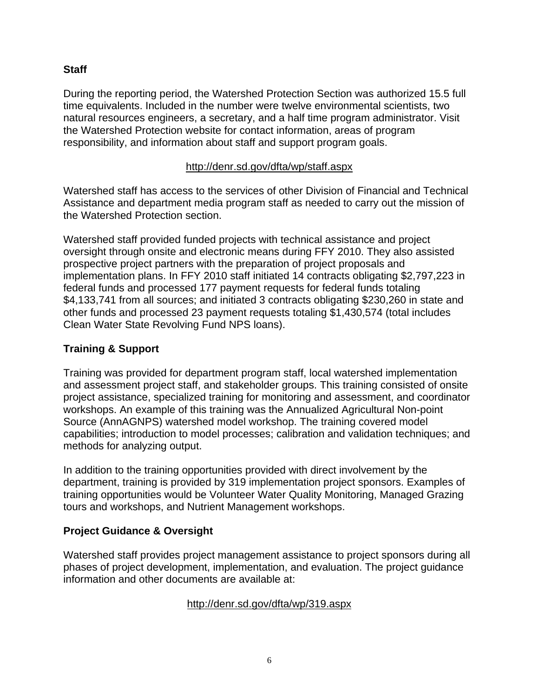#### **Staff**

During the reporting period, the Watershed Protection Section was authorized 15.5 full time equivalents. Included in the number were twelve environmental scientists, two natural resources engineers, a secretary, and a half time program administrator. Visit the Watershed Protection website for contact information, areas of program responsibility, and information about staff and support program goals.

#### http://denr.sd.gov/dfta/wp/staff.aspx

Watershed staff has access to the services of other Division of Financial and Technical Assistance and department media program staff as needed to carry out the mission of the Watershed Protection section.

Watershed staff provided funded projects with technical assistance and project oversight through onsite and electronic means during FFY 2010. They also assisted prospective project partners with the preparation of project proposals and implementation plans. In FFY 2010 staff initiated 14 contracts obligating \$2,797,223 in federal funds and processed 177 payment requests for federal funds totaling \$4,133,741 from all sources; and initiated 3 contracts obligating \$230,260 in state and other funds and processed 23 payment requests totaling \$1,430,574 (total includes Clean Water State Revolving Fund NPS loans).

## **Training & Support**

Training was provided for department program staff, local watershed implementation and assessment project staff, and stakeholder groups. This training consisted of onsite project assistance, specialized training for monitoring and assessment, and coordinator workshops. An example of this training was the Annualized Agricultural Non-point Source (AnnAGNPS) watershed model workshop. The training covered model capabilities; introduction to model processes; calibration and validation techniques; and methods for analyzing output.

In addition to the training opportunities provided with direct involvement by the department, training is provided by 319 implementation project sponsors. Examples of training opportunities would be Volunteer Water Quality Monitoring, Managed Grazing tours and workshops, and Nutrient Management workshops.

## **Project Guidance & Oversight**

Watershed staff provides project management assistance to project sponsors during all phases of project development, implementation, and evaluation. The project guidance information and other documents are available at:

#### http://denr.sd.gov/dfta/wp/319.aspx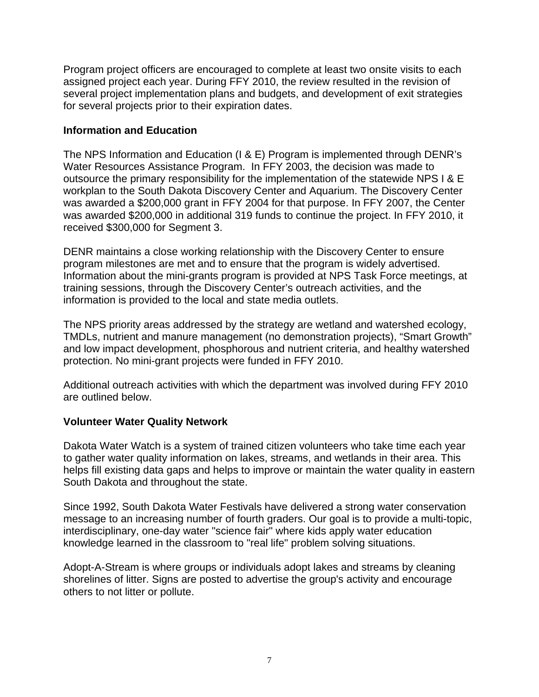Program project officers are encouraged to complete at least two onsite visits to each assigned project each year. During FFY 2010, the review resulted in the revision of several project implementation plans and budgets, and development of exit strategies for several projects prior to their expiration dates.

#### **Information and Education**

The NPS Information and Education (I & E) Program is implemented through DENR's Water Resources Assistance Program. In FFY 2003, the decision was made to outsource the primary responsibility for the implementation of the statewide NPS I & E workplan to the South Dakota Discovery Center and Aquarium. The Discovery Center was awarded a \$200,000 grant in FFY 2004 for that purpose. In FFY 2007, the Center was awarded \$200,000 in additional 319 funds to continue the project. In FFY 2010, it received \$300,000 for Segment 3.

DENR maintains a close working relationship with the Discovery Center to ensure program milestones are met and to ensure that the program is widely advertised. Information about the mini-grants program is provided at NPS Task Force meetings, at training sessions, through the Discovery Center's outreach activities, and the information is provided to the local and state media outlets.

The NPS priority areas addressed by the strategy are wetland and watershed ecology, TMDLs, nutrient and manure management (no demonstration projects), "Smart Growth" and low impact development, phosphorous and nutrient criteria, and healthy watershed protection. No mini-grant projects were funded in FFY 2010.

Additional outreach activities with which the department was involved during FFY 2010 are outlined below.

## **Volunteer Water Quality Network**

Dakota Water Watch is a system of trained citizen volunteers who take time each year to gather water quality information on lakes, streams, and wetlands in their area. This helps fill existing data gaps and helps to improve or maintain the water quality in eastern South Dakota and throughout the state.

Since 1992, South Dakota Water Festivals have delivered a strong water conservation message to an increasing number of fourth graders. Our goal is to provide a multi-topic, interdisciplinary, one-day water "science fair" where kids apply water education knowledge learned in the classroom to "real life" problem solving situations.

Adopt-A-Stream is where groups or individuals adopt lakes and streams by cleaning shorelines of litter. Signs are posted to advertise the group's activity and encourage others to not litter or pollute.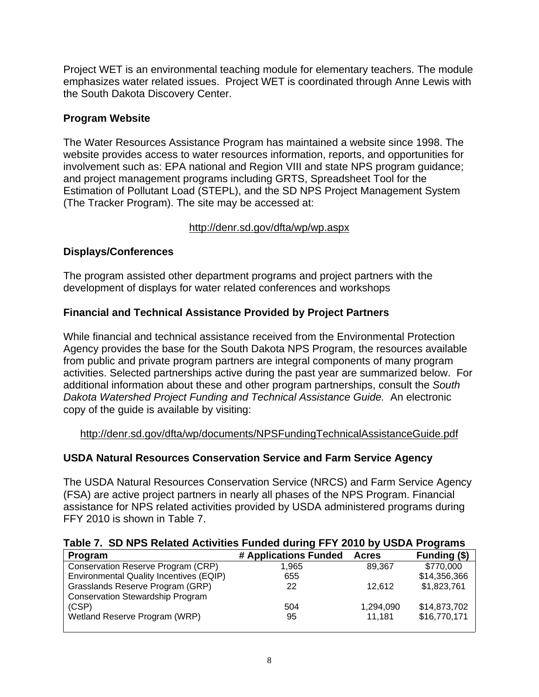Project WET is an environmental teaching module for elementary teachers. The module emphasizes water related issues. Project WET is coordinated through Anne Lewis with the South Dakota Discovery Center.

## **Program Website**

The Water Resources Assistance Program has maintained a website since 1998. The website provides access to water resources information, reports, and opportunities for involvement such as: EPA national and Region VIII and state NPS program guidance; and project management programs including GRTS, Spreadsheet Tool for the Estimation of Pollutant Load (STEPL), and the SD NPS Project Management System (The Tracker Program). The site may be accessed at:

## http://denr.sd.gov/dfta/wp/wp.aspx

## **Displays/Conferences**

The program assisted other department programs and project partners with the development of displays for water related conferences and workshops

## **Financial and Technical Assistance Provided by Project Partners**

While financial and technical assistance received from the Environmental Protection Agency provides the base for the South Dakota NPS Program, the resources available from public and private program partners are integral components of many program activities. Selected partnerships active during the past year are summarized below. For additional information about these and other program partnerships, consult the *South Dakota Watershed Project Funding and Technical Assistance Guide.* An electronic copy of the guide is available by visiting:

http://denr.sd.gov/dfta/wp/documents/NPSFundingTechnicalAssistanceGuide.pdf

## **USDA Natural Resources Conservation Service and Farm Service Agency**

The USDA Natural Resources Conservation Service (NRCS) and Farm Service Agency (FSA) are active project partners in nearly all phases of the NPS Program. Financial assistance for NPS related activities provided by USDA administered programs during FFY 2010 is shown in Table 7.

|  |  |  | Table 7. SD NPS Related Activities Funded during FFY 2010 by USDA Programs |
|--|--|--|----------------------------------------------------------------------------|
|  |  |  |                                                                            |

| Program                                        | # Applications Funded | <b>Acres</b> | Funding (\$) |
|------------------------------------------------|-----------------------|--------------|--------------|
| Conservation Reserve Program (CRP)             | 1.965                 | 89.367       | \$770,000    |
| <b>Environmental Quality Incentives (EQIP)</b> | 655                   |              | \$14,356,366 |
| Grasslands Reserve Program (GRP)               | 22                    | 12.612       | \$1,823,761  |
| <b>Conservation Stewardship Program</b>        |                       |              |              |
| (CSP)                                          | 504                   | 1,294,090    | \$14,873,702 |
| Wetland Reserve Program (WRP)                  | 95                    | 11.181       | \$16,770,171 |
|                                                |                       |              |              |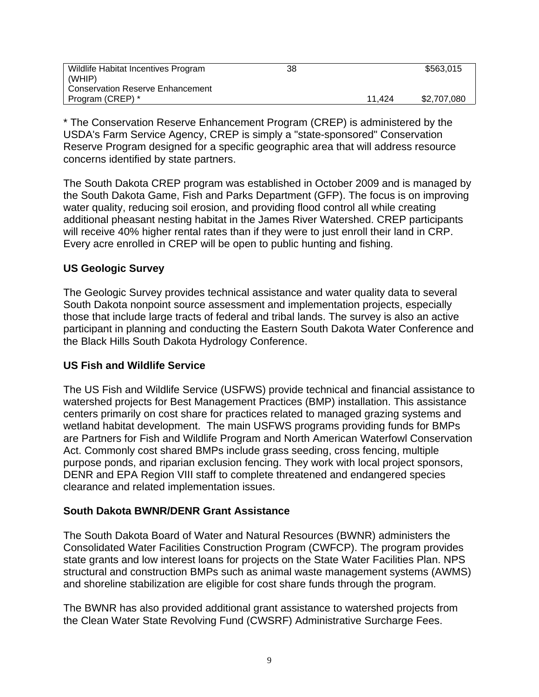| Wildlife Habitat Incentives Program | 38 |        | \$563.015   |
|-------------------------------------|----|--------|-------------|
| (WHIP)                              |    |        |             |
| Conservation Reserve Enhancement    |    |        |             |
| Program (CREP) *                    |    | 11.424 | \$2,707,080 |

\* The Conservation Reserve Enhancement Program (CREP) is administered by the USDA's Farm Service Agency, CREP is simply a "state-sponsored" Conservation Reserve Program designed for a specific geographic area that will address resource concerns identified by state partners.

The South Dakota CREP program was established in October 2009 and is managed by the South Dakota Game, Fish and Parks Department (GFP). The focus is on improving water quality, reducing soil erosion, and providing flood control all while creating additional pheasant nesting habitat in the James River Watershed. CREP participants will receive 40% higher rental rates than if they were to just enroll their land in CRP. Every acre enrolled in CREP will be open to public hunting and fishing.

#### **US Geologic Survey**

The Geologic Survey provides technical assistance and water quality data to several South Dakota nonpoint source assessment and implementation projects, especially those that include large tracts of federal and tribal lands. The survey is also an active participant in planning and conducting the Eastern South Dakota Water Conference and the Black Hills South Dakota Hydrology Conference.

#### **US Fish and Wildlife Service**

The US Fish and Wildlife Service (USFWS) provide technical and financial assistance to watershed projects for Best Management Practices (BMP) installation. This assistance centers primarily on cost share for practices related to managed grazing systems and wetland habitat development. The main USFWS programs providing funds for BMPs are Partners for Fish and Wildlife Program and North American Waterfowl Conservation Act. Commonly cost shared BMPs include grass seeding, cross fencing, multiple purpose ponds, and riparian exclusion fencing. They work with local project sponsors, DENR and EPA Region VIII staff to complete threatened and endangered species clearance and related implementation issues.

#### **South Dakota BWNR/DENR Grant Assistance**

The South Dakota Board of Water and Natural Resources (BWNR) administers the Consolidated Water Facilities Construction Program (CWFCP). The program provides state grants and low interest loans for projects on the State Water Facilities Plan. NPS structural and construction BMPs such as animal waste management systems (AWMS) and shoreline stabilization are eligible for cost share funds through the program.

The BWNR has also provided additional grant assistance to watershed projects from the Clean Water State Revolving Fund (CWSRF) Administrative Surcharge Fees.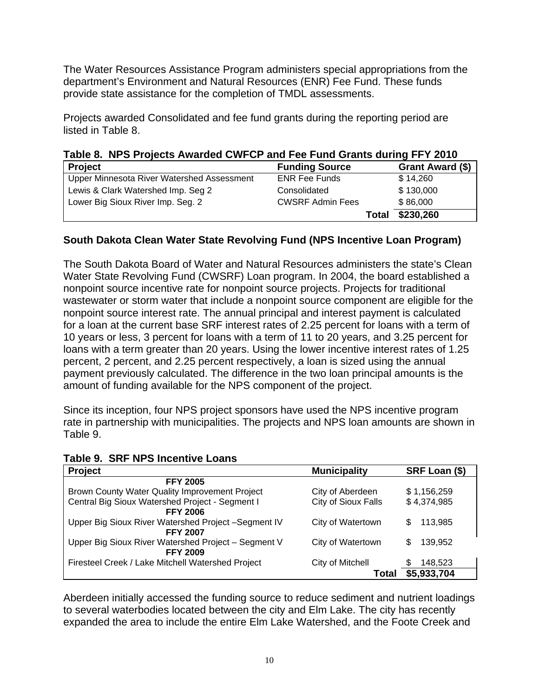The Water Resources Assistance Program administers special appropriations from the department's Environment and Natural Resources (ENR) Fee Fund. These funds provide state assistance for the completion of TMDL assessments.

Projects awarded Consolidated and fee fund grants during the reporting period are listed in Table 8.

**Table 8. NPS Projects Awarded CWFCP and Fee Fund Grants during FFY 2010** 

| <b>Project</b>                             | <b>Funding Source</b>   | Grant Award (\$) |
|--------------------------------------------|-------------------------|------------------|
| Upper Minnesota River Watershed Assessment | <b>ENR Fee Funds</b>    | \$14,260         |
| Lewis & Clark Watershed Imp. Seg 2         | Consolidated            | \$130,000        |
| Lower Big Sioux River Imp. Seg. 2          | <b>CWSRF Admin Fees</b> | \$86,000         |
|                                            | Total                   | \$230,260        |

## **South Dakota Clean Water State Revolving Fund (NPS Incentive Loan Program)**

The South Dakota Board of Water and Natural Resources administers the state's Clean Water State Revolving Fund (CWSRF) Loan program. In 2004, the board established a nonpoint source incentive rate for nonpoint source projects. Projects for traditional wastewater or storm water that include a nonpoint source component are eligible for the nonpoint source interest rate. The annual principal and interest payment is calculated for a loan at the current base SRF interest rates of 2.25 percent for loans with a term of 10 years or less, 3 percent for loans with a term of 11 to 20 years, and 3.25 percent for loans with a term greater than 20 years. Using the lower incentive interest rates of 1.25 percent, 2 percent, and 2.25 percent respectively, a loan is sized using the annual payment previously calculated. The difference in the two loan principal amounts is the amount of funding available for the NPS component of the project.

Since its inception, four NPS project sponsors have used the NPS incentive program rate in partnership with municipalities. The projects and NPS loan amounts are shown in Table 9.

| <b>Project</b>                                      | <b>Municipality</b> | SRF Loan (\$) |
|-----------------------------------------------------|---------------------|---------------|
| <b>FFY 2005</b>                                     |                     |               |
| Brown County Water Quality Improvement Project      | City of Aberdeen    | \$1,156,259   |
| Central Big Sioux Watershed Project - Segment I     | City of Sioux Falls | \$4,374,985   |
| <b>FFY 2006</b>                                     |                     |               |
| Upper Big Sioux River Watershed Project-Segment IV  | City of Watertown   | 113.985<br>S  |
| <b>FFY 2007</b>                                     |                     |               |
| Upper Big Sioux River Watershed Project - Segment V | City of Watertown   | 139,952<br>S  |
| <b>FFY 2009</b>                                     |                     |               |
| Firesteel Creek / Lake Mitchell Watershed Project   | City of Mitchell    | 148,523       |
|                                                     | Total               | \$5,933,704   |

**Table 9. SRF NPS Incentive Loans** 

Aberdeen initially accessed the funding source to reduce sediment and nutrient loadings to several waterbodies located between the city and Elm Lake. The city has recently expanded the area to include the entire Elm Lake Watershed, and the Foote Creek and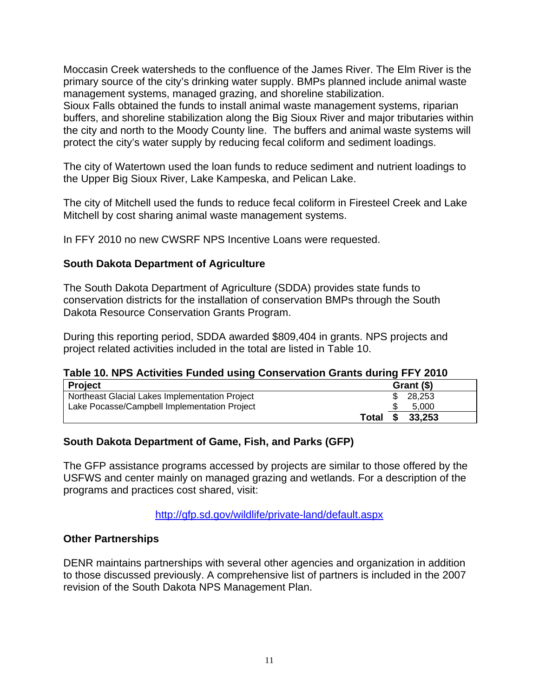Moccasin Creek watersheds to the confluence of the James River. The Elm River is the primary source of the city's drinking water supply. BMPs planned include animal waste management systems, managed grazing, and shoreline stabilization.

Sioux Falls obtained the funds to install animal waste management systems, riparian buffers, and shoreline stabilization along the Big Sioux River and major tributaries within the city and north to the Moody County line. The buffers and animal waste systems will protect the city's water supply by reducing fecal coliform and sediment loadings.

The city of Watertown used the loan funds to reduce sediment and nutrient loadings to the Upper Big Sioux River, Lake Kampeska, and Pelican Lake.

The city of Mitchell used the funds to reduce fecal coliform in Firesteel Creek and Lake Mitchell by cost sharing animal waste management systems.

In FFY 2010 no new CWSRF NPS Incentive Loans were requested.

#### **South Dakota Department of Agriculture**

The South Dakota Department of Agriculture (SDDA) provides state funds to conservation districts for the installation of conservation BMPs through the South Dakota Resource Conservation Grants Program.

During this reporting period, SDDA awarded \$809,404 in grants. NPS projects and project related activities included in the total are listed in Table 10.

|  | Table 10. NPS Activities Funded using Conservation Grants during FFY 2010 |
|--|---------------------------------------------------------------------------|
|--|---------------------------------------------------------------------------|

| <b>Project</b>                                 |       | Grant (\$)    |  |
|------------------------------------------------|-------|---------------|--|
| Northeast Glacial Lakes Implementation Project |       | 28.253        |  |
| Lake Pocasse/Campbell Implementation Project   |       | 5.000         |  |
|                                                | Total | 33,253<br>-SS |  |

#### **South Dakota Department of Game, Fish, and Parks (GFP)**

The GFP assistance programs accessed by projects are similar to those offered by the USFWS and center mainly on managed grazing and wetlands. For a description of the programs and practices cost shared, visit:

http://gfp.sd.gov/wildlife/private-land/default.aspx

#### **Other Partnerships**

DENR maintains partnerships with several other agencies and organization in addition to those discussed previously. A comprehensive list of partners is included in the 2007 revision of the South Dakota NPS Management Plan.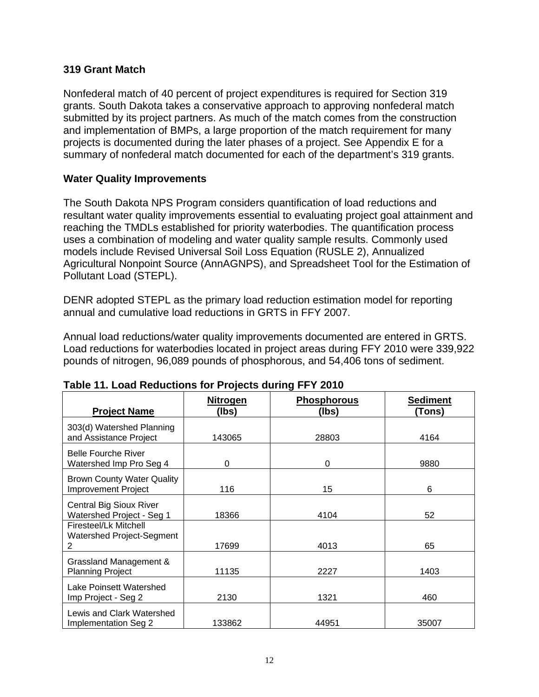#### **319 Grant Match**

Nonfederal match of 40 percent of project expenditures is required for Section 319 grants. South Dakota takes a conservative approach to approving nonfederal match submitted by its project partners. As much of the match comes from the construction and implementation of BMPs, a large proportion of the match requirement for many projects is documented during the later phases of a project. See Appendix E for a summary of nonfederal match documented for each of the department's 319 grants.

#### **Water Quality Improvements**

The South Dakota NPS Program considers quantification of load reductions and resultant water quality improvements essential to evaluating project goal attainment and reaching the TMDLs established for priority waterbodies. The quantification process uses a combination of modeling and water quality sample results. Commonly used models include Revised Universal Soil Loss Equation (RUSLE 2), Annualized Agricultural Nonpoint Source (AnnAGNPS), and Spreadsheet Tool for the Estimation of Pollutant Load (STEPL).

DENR adopted STEPL as the primary load reduction estimation model for reporting annual and cumulative load reductions in GRTS in FFY 2007.

Annual load reductions/water quality improvements documented are entered in GRTS. Load reductions for waterbodies located in project areas during FFY 2010 were 339,922 pounds of nitrogen, 96,089 pounds of phosphorous, and 54,406 tons of sediment.

| <b>Project Name</b>                                             | <u>Nitrogen</u><br>(lbs) | <b>Phosphorous</b><br>(lbs) | <b>Sediment</b><br>(Tons) |
|-----------------------------------------------------------------|--------------------------|-----------------------------|---------------------------|
| 303(d) Watershed Planning<br>and Assistance Project             | 143065                   | 28803                       | 4164                      |
| <b>Belle Fourche River</b><br>Watershed Imp Pro Seg 4           | 0                        | 0                           | 9880                      |
| <b>Brown County Water Quality</b><br><b>Improvement Project</b> | 116                      | 15                          | 6                         |
| <b>Central Big Sioux River</b><br>Watershed Project - Seg 1     | 18366                    | 4104                        | 52                        |
| Firesteel/Lk Mitchell<br>Watershed Project-Segment<br>2         | 17699                    | 4013                        | 65                        |
| Grassland Management &<br><b>Planning Project</b>               | 11135                    | 2227                        | 1403                      |
| Lake Poinsett Watershed<br>Imp Project - Seg 2                  | 2130                     | 1321                        | 460                       |
| Lewis and Clark Watershed<br>Implementation Seg 2               | 133862                   | 44951                       | 35007                     |

#### **Table 11. Load Reductions for Projects during FFY 2010**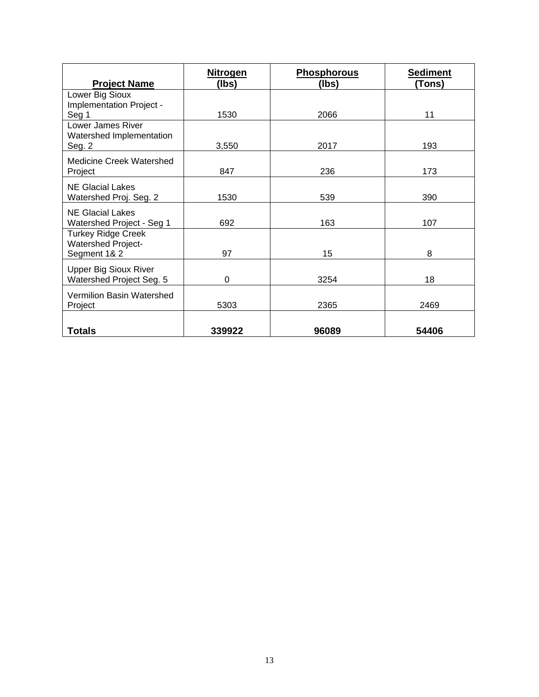| <b>Project Name</b>                                                    | <b>Nitrogen</b><br>(lbs) | <b>Phosphorous</b><br>(lbs) | <b>Sediment</b><br>(Tons) |
|------------------------------------------------------------------------|--------------------------|-----------------------------|---------------------------|
| Lower Big Sioux<br>Implementation Project -                            |                          |                             |                           |
| Seg 1                                                                  | 1530                     | 2066                        | 11                        |
| Lower James River<br>Watershed Implementation<br>Seg. 2                | 3,550                    | 2017                        | 193                       |
| <b>Medicine Creek Watershed</b><br>Project                             | 847                      | 236                         | 173                       |
| <b>NE Glacial Lakes</b><br>Watershed Proj. Seg. 2                      | 1530                     | 539                         | 390                       |
| <b>NE Glacial Lakes</b><br>Watershed Project - Seg 1                   | 692                      | 163                         | 107                       |
| <b>Turkey Ridge Creek</b><br><b>Watershed Project-</b><br>Segment 1& 2 | 97                       | 15                          | 8                         |
| <b>Upper Big Sioux River</b><br>Watershed Project Seg. 5               | 0                        | 3254                        | 18                        |
| Vermilion Basin Watershed<br>Project                                   | 5303                     | 2365                        | 2469                      |
| <b>Totals</b>                                                          | 339922                   | 96089                       | 54406                     |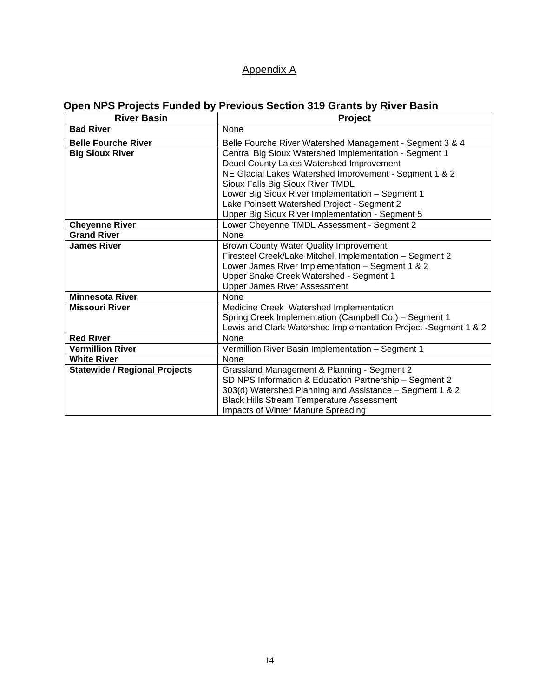## Appendix A

# **Open NPS Projects Funded by Previous Section 319 Grants by River Basin**

| <b>River Basin</b>                   | Project                                                         |  |  |  |
|--------------------------------------|-----------------------------------------------------------------|--|--|--|
| <b>Bad River</b>                     | None                                                            |  |  |  |
| <b>Belle Fourche River</b>           | Belle Fourche River Watershed Management - Segment 3 & 4        |  |  |  |
| <b>Big Sioux River</b>               | Central Big Sioux Watershed Implementation - Segment 1          |  |  |  |
|                                      | Deuel County Lakes Watershed Improvement                        |  |  |  |
|                                      | NE Glacial Lakes Watershed Improvement - Segment 1 & 2          |  |  |  |
|                                      | Sioux Falls Big Sioux River TMDL                                |  |  |  |
|                                      | Lower Big Sioux River Implementation - Segment 1                |  |  |  |
|                                      | Lake Poinsett Watershed Project - Segment 2                     |  |  |  |
|                                      | Upper Big Sioux River Implementation - Segment 5                |  |  |  |
| <b>Cheyenne River</b>                | Lower Cheyenne TMDL Assessment - Segment 2                      |  |  |  |
| <b>Grand River</b>                   | None                                                            |  |  |  |
| <b>James River</b>                   | Brown County Water Quality Improvement                          |  |  |  |
|                                      | Firesteel Creek/Lake Mitchell Implementation - Segment 2        |  |  |  |
|                                      | Lower James River Implementation - Segment 1 & 2                |  |  |  |
|                                      | Upper Snake Creek Watershed - Segment 1                         |  |  |  |
|                                      | <b>Upper James River Assessment</b>                             |  |  |  |
| <b>Minnesota River</b>               | None                                                            |  |  |  |
| <b>Missouri River</b>                | Medicine Creek Watershed Implementation                         |  |  |  |
|                                      | Spring Creek Implementation (Campbell Co.) - Segment 1          |  |  |  |
|                                      | Lewis and Clark Watershed Implementation Project -Segment 1 & 2 |  |  |  |
| <b>Red River</b>                     | None                                                            |  |  |  |
| <b>Vermillion River</b>              | Vermillion River Basin Implementation - Segment 1               |  |  |  |
| <b>White River</b>                   | <b>None</b>                                                     |  |  |  |
| <b>Statewide / Regional Projects</b> | Grassland Management & Planning - Segment 2                     |  |  |  |
|                                      | SD NPS Information & Education Partnership - Segment 2          |  |  |  |
|                                      | 303(d) Watershed Planning and Assistance - Segment 1 & 2        |  |  |  |
|                                      | <b>Black Hills Stream Temperature Assessment</b>                |  |  |  |
|                                      | Impacts of Winter Manure Spreading                              |  |  |  |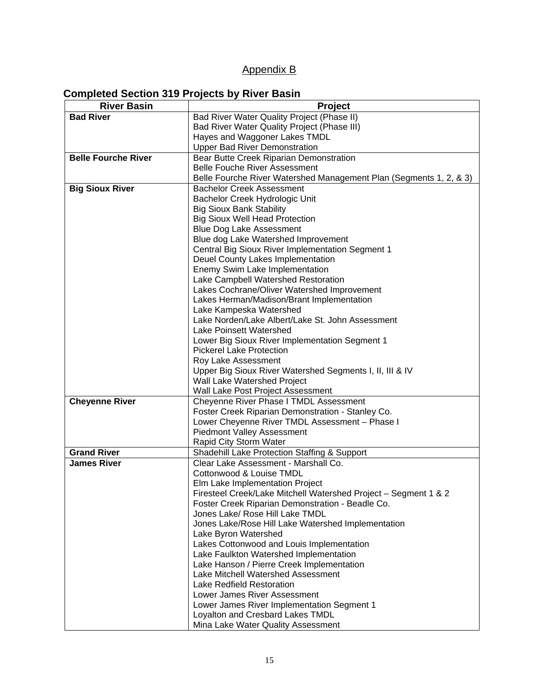## Appendix B

# **Completed Section 319 Projects by River Basin**

| <b>River Basin</b>         | <b>Project</b>                                                              |  |  |
|----------------------------|-----------------------------------------------------------------------------|--|--|
| <b>Bad River</b>           | Bad River Water Quality Project (Phase II)                                  |  |  |
|                            | Bad River Water Quality Project (Phase III)                                 |  |  |
|                            | Hayes and Waggoner Lakes TMDL                                               |  |  |
|                            | <b>Upper Bad River Demonstration</b>                                        |  |  |
| <b>Belle Fourche River</b> | Bear Butte Creek Riparian Demonstration                                     |  |  |
|                            | <b>Belle Fouche River Assessment</b>                                        |  |  |
|                            | Belle Fourche River Watershed Management Plan (Segments 1, 2, & 3)          |  |  |
| <b>Big Sioux River</b>     | <b>Bachelor Creek Assessment</b>                                            |  |  |
|                            | Bachelor Creek Hydrologic Unit                                              |  |  |
|                            | <b>Big Sioux Bank Stability</b>                                             |  |  |
|                            | <b>Big Sioux Well Head Protection</b>                                       |  |  |
|                            | <b>Blue Dog Lake Assessment</b>                                             |  |  |
|                            | Blue dog Lake Watershed Improvement                                         |  |  |
|                            | Central Big Sioux River Implementation Segment 1                            |  |  |
|                            | Deuel County Lakes Implementation                                           |  |  |
|                            | Enemy Swim Lake Implementation                                              |  |  |
|                            | Lake Campbell Watershed Restoration                                         |  |  |
|                            | Lakes Cochrane/Oliver Watershed Improvement                                 |  |  |
|                            | Lakes Herman/Madison/Brant Implementation                                   |  |  |
|                            | Lake Kampeska Watershed                                                     |  |  |
|                            | Lake Norden/Lake Albert/Lake St. John Assessment                            |  |  |
|                            | Lake Poinsett Watershed                                                     |  |  |
|                            | Lower Big Sioux River Implementation Segment 1                              |  |  |
|                            | <b>Pickerel Lake Protection</b>                                             |  |  |
|                            | Roy Lake Assessment                                                         |  |  |
|                            | Upper Big Sioux River Watershed Segments I, II, III & IV                    |  |  |
|                            | Wall Lake Watershed Project                                                 |  |  |
| <b>Cheyenne River</b>      | Wall Lake Post Project Assessment<br>Cheyenne River Phase I TMDL Assessment |  |  |
|                            | Foster Creek Riparian Demonstration - Stanley Co.                           |  |  |
|                            | Lower Cheyenne River TMDL Assessment - Phase I                              |  |  |
|                            | <b>Piedmont Valley Assessment</b>                                           |  |  |
|                            | Rapid City Storm Water                                                      |  |  |
| <b>Grand River</b>         | Shadehill Lake Protection Staffing & Support                                |  |  |
| <b>James River</b>         | Clear Lake Assessment - Marshall Co.                                        |  |  |
|                            | Cottonwood & Louise TMDL                                                    |  |  |
|                            | Elm Lake Implementation Project                                             |  |  |
|                            | Firesteel Creek/Lake Mitchell Watershed Project - Segment 1 & 2             |  |  |
|                            | Foster Creek Riparian Demonstration - Beadle Co.                            |  |  |
|                            | Jones Lake/ Rose Hill Lake TMDL                                             |  |  |
|                            | Jones Lake/Rose Hill Lake Watershed Implementation                          |  |  |
|                            | Lake Byron Watershed                                                        |  |  |
|                            | Lakes Cottonwood and Louis Implementation                                   |  |  |
|                            | Lake Faulkton Watershed Implementation                                      |  |  |
|                            | Lake Hanson / Pierre Creek Implementation                                   |  |  |
|                            | Lake Mitchell Watershed Assessment                                          |  |  |
|                            | Lake Redfield Restoration                                                   |  |  |
|                            | Lower James River Assessment                                                |  |  |
|                            | Lower James River Implementation Segment 1                                  |  |  |
|                            | Loyalton and Cresbard Lakes TMDL                                            |  |  |
|                            | Mina Lake Water Quality Assessment                                          |  |  |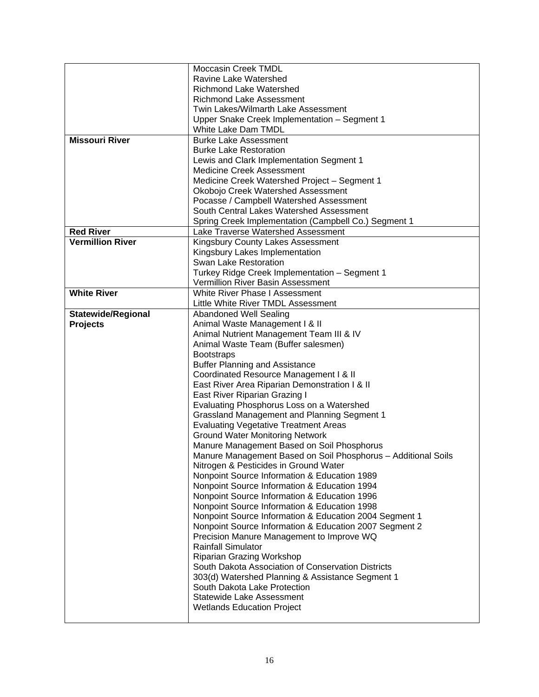|                           | <b>Moccasin Creek TMDL</b>                                                                                  |
|---------------------------|-------------------------------------------------------------------------------------------------------------|
|                           | <b>Ravine Lake Watershed</b>                                                                                |
|                           | <b>Richmond Lake Watershed</b>                                                                              |
|                           | <b>Richmond Lake Assessment</b>                                                                             |
|                           | Twin Lakes/Wilmarth Lake Assessment                                                                         |
|                           | Upper Snake Creek Implementation - Segment 1                                                                |
|                           | White Lake Dam TMDL                                                                                         |
| <b>Missouri River</b>     | <b>Burke Lake Assessment</b>                                                                                |
|                           | <b>Burke Lake Restoration</b>                                                                               |
|                           | Lewis and Clark Implementation Segment 1                                                                    |
|                           | <b>Medicine Creek Assessment</b>                                                                            |
|                           | Medicine Creek Watershed Project - Segment 1                                                                |
|                           | Okobojo Creek Watershed Assessment                                                                          |
|                           | Pocasse / Campbell Watershed Assessment                                                                     |
|                           | South Central Lakes Watershed Assessment                                                                    |
|                           | Spring Creek Implementation (Campbell Co.) Segment 1                                                        |
| <b>Red River</b>          | Lake Traverse Watershed Assessment                                                                          |
| <b>Vermillion River</b>   | Kingsbury County Lakes Assessment                                                                           |
|                           | Kingsbury Lakes Implementation                                                                              |
|                           | Swan Lake Restoration                                                                                       |
|                           | Turkey Ridge Creek Implementation - Segment 1                                                               |
|                           | Vermillion River Basin Assessment                                                                           |
| <b>White River</b>        | White River Phase I Assessment                                                                              |
|                           | Little White River TMDL Assessment                                                                          |
| <b>Statewide/Regional</b> | <b>Abandoned Well Sealing</b>                                                                               |
| <b>Projects</b>           | Animal Waste Management I & II                                                                              |
|                           | Animal Nutrient Management Team III & IV                                                                    |
|                           | Animal Waste Team (Buffer salesmen)                                                                         |
|                           | <b>Bootstraps</b>                                                                                           |
|                           | <b>Buffer Planning and Assistance</b>                                                                       |
|                           | Coordinated Resource Management I & II                                                                      |
|                           | East River Area Riparian Demonstration I & II                                                               |
|                           | East River Riparian Grazing I                                                                               |
|                           | Evaluating Phosphorus Loss on a Watershed                                                                   |
|                           | <b>Grassland Management and Planning Segment 1</b>                                                          |
|                           | <b>Evaluating Vegetative Treatment Areas</b><br><b>Ground Water Monitoring Network</b>                      |
|                           |                                                                                                             |
|                           | Manure Management Based on Soil Phosphorus<br>Manure Management Based on Soil Phosphorus - Additional Soils |
|                           | Nitrogen & Pesticides in Ground Water                                                                       |
|                           | Nonpoint Source Information & Education 1989                                                                |
|                           | Nonpoint Source Information & Education 1994                                                                |
|                           | Nonpoint Source Information & Education 1996                                                                |
|                           | Nonpoint Source Information & Education 1998                                                                |
|                           | Nonpoint Source Information & Education 2004 Segment 1                                                      |
|                           | Nonpoint Source Information & Education 2007 Segment 2                                                      |
|                           | Precision Manure Management to Improve WQ                                                                   |
|                           | <b>Rainfall Simulator</b>                                                                                   |
|                           | <b>Riparian Grazing Workshop</b>                                                                            |
|                           | South Dakota Association of Conservation Districts                                                          |
|                           | 303(d) Watershed Planning & Assistance Segment 1                                                            |
|                           | South Dakota Lake Protection                                                                                |
|                           | Statewide Lake Assessment                                                                                   |
|                           | <b>Wetlands Education Project</b>                                                                           |
|                           |                                                                                                             |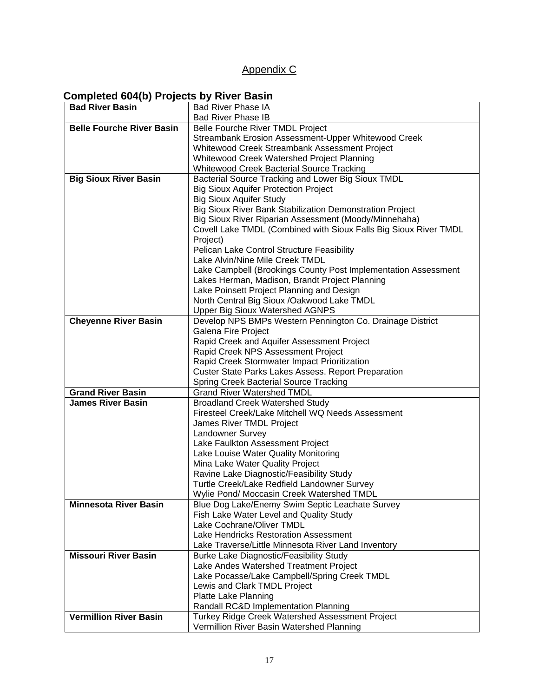## Appendix C

## **Completed 604(b) Projects by River Basin**

| <b>Bad River Basin</b>           | <b>Bad River Phase IA</b>                                        |
|----------------------------------|------------------------------------------------------------------|
|                                  | <b>Bad River Phase IB</b>                                        |
| <b>Belle Fourche River Basin</b> | Belle Fourche River TMDL Project                                 |
|                                  | Streambank Erosion Assessment-Upper Whitewood Creek              |
|                                  | Whitewood Creek Streambank Assessment Project                    |
|                                  | Whitewood Creek Watershed Project Planning                       |
|                                  | <b>Whitewood Creek Bacterial Source Tracking</b>                 |
| <b>Big Sioux River Basin</b>     | Bacterial Source Tracking and Lower Big Sioux TMDL               |
|                                  | <b>Big Sioux Aquifer Protection Project</b>                      |
|                                  | <b>Big Sioux Aquifer Study</b>                                   |
|                                  | Big Sioux River Bank Stabilization Demonstration Project         |
|                                  | Big Sioux River Riparian Assessment (Moody/Minnehaha)            |
|                                  | Covell Lake TMDL (Combined with Sioux Falls Big Sioux River TMDL |
|                                  | Project)                                                         |
|                                  | Pelican Lake Control Structure Feasibility                       |
|                                  | Lake Alvin/Nine Mile Creek TMDL                                  |
|                                  | Lake Campbell (Brookings County Post Implementation Assessment   |
|                                  | Lakes Herman, Madison, Brandt Project Planning                   |
|                                  | Lake Poinsett Project Planning and Design                        |
|                                  | North Central Big Sioux /Oakwood Lake TMDL                       |
|                                  | <b>Upper Big Sioux Watershed AGNPS</b>                           |
| <b>Cheyenne River Basin</b>      | Develop NPS BMPs Western Pennington Co. Drainage District        |
|                                  | Galena Fire Project                                              |
|                                  | Rapid Creek and Aquifer Assessment Project                       |
|                                  | Rapid Creek NPS Assessment Project                               |
|                                  | Rapid Creek Stormwater Impact Prioritization                     |
|                                  | <b>Custer State Parks Lakes Assess. Report Preparation</b>       |
|                                  | <b>Spring Creek Bacterial Source Tracking</b>                    |
| <b>Grand River Basin</b>         | <b>Grand River Watershed TMDL</b>                                |
| <b>James River Basin</b>         | <b>Broadland Creek Watershed Study</b>                           |
|                                  | Firesteel Creek/Lake Mitchell WQ Needs Assessment                |
|                                  | James River TMDL Project                                         |
|                                  | Landowner Survey                                                 |
|                                  | Lake Faulkton Assessment Project                                 |
|                                  | Lake Louise Water Quality Monitoring                             |
|                                  | Mina Lake Water Quality Project                                  |
|                                  | Ravine Lake Diagnostic/Feasibility Study                         |
|                                  | Turtle Creek/Lake Redfield Landowner Survey                      |
|                                  | Wylie Pond/ Moccasin Creek Watershed TMDL                        |
| <b>Minnesota River Basin</b>     | Blue Dog Lake/Enemy Swim Septic Leachate Survey                  |
|                                  | Fish Lake Water Level and Quality Study                          |
|                                  | Lake Cochrane/Oliver TMDL                                        |
|                                  | Lake Hendricks Restoration Assessment                            |
|                                  | Lake Traverse/Little Minnesota River Land Inventory              |
| <b>Missouri River Basin</b>      | <b>Burke Lake Diagnostic/Feasibility Study</b>                   |
|                                  | Lake Andes Watershed Treatment Project                           |
|                                  | Lake Pocasse/Lake Campbell/Spring Creek TMDL                     |
|                                  | Lewis and Clark TMDL Project                                     |
|                                  | Platte Lake Planning                                             |
|                                  | Randall RC&D Implementation Planning                             |
| <b>Vermillion River Basin</b>    | Turkey Ridge Creek Watershed Assessment Project                  |
|                                  | Vermillion River Basin Watershed Planning                        |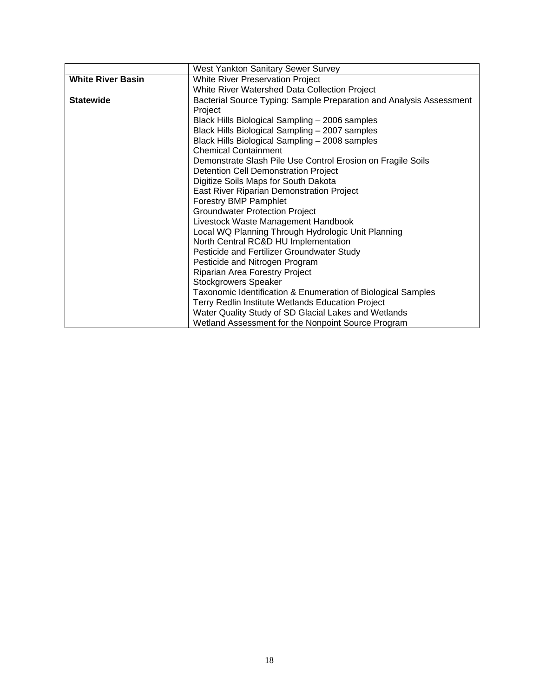|                          | West Yankton Sanitary Sewer Survey                                  |  |  |
|--------------------------|---------------------------------------------------------------------|--|--|
| <b>White River Basin</b> | <b>White River Preservation Project</b>                             |  |  |
|                          | White River Watershed Data Collection Project                       |  |  |
| <b>Statewide</b>         | Bacterial Source Typing: Sample Preparation and Analysis Assessment |  |  |
|                          | Project                                                             |  |  |
|                          | Black Hills Biological Sampling - 2006 samples                      |  |  |
|                          | Black Hills Biological Sampling - 2007 samples                      |  |  |
|                          | Black Hills Biological Sampling - 2008 samples                      |  |  |
|                          | <b>Chemical Containment</b>                                         |  |  |
|                          | Demonstrate Slash Pile Use Control Erosion on Fragile Soils         |  |  |
|                          | <b>Detention Cell Demonstration Project</b>                         |  |  |
|                          | Digitize Soils Maps for South Dakota                                |  |  |
|                          | East River Riparian Demonstration Project                           |  |  |
|                          | <b>Forestry BMP Pamphlet</b>                                        |  |  |
|                          | <b>Groundwater Protection Project</b>                               |  |  |
|                          | Livestock Waste Management Handbook                                 |  |  |
|                          | Local WQ Planning Through Hydrologic Unit Planning                  |  |  |
|                          | North Central RC&D HU Implementation                                |  |  |
|                          | Pesticide and Fertilizer Groundwater Study                          |  |  |
|                          | Pesticide and Nitrogen Program                                      |  |  |
|                          | Riparian Area Forestry Project                                      |  |  |
|                          | <b>Stockgrowers Speaker</b>                                         |  |  |
|                          | Taxonomic Identification & Enumeration of Biological Samples        |  |  |
|                          | Terry Redlin Institute Wetlands Education Project                   |  |  |
|                          | Water Quality Study of SD Glacial Lakes and Wetlands                |  |  |
|                          | Wetland Assessment for the Nonpoint Source Program                  |  |  |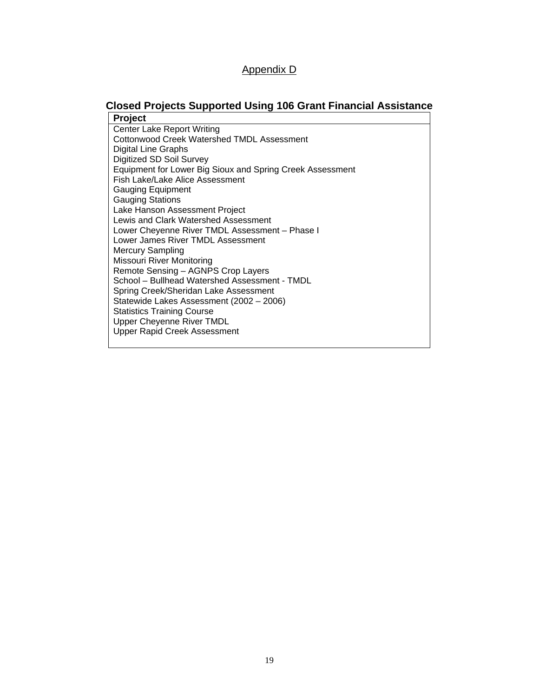#### Appendix D

## **Closed Projects Supported Using 106 Grant Financial Assistance**

**Project**  Center Lake Report Writing Cottonwood Creek Watershed TMDL Assessment Digital Line Graphs Digitized SD Soil Survey Equipment for Lower Big Sioux and Spring Creek Assessment Fish Lake/Lake Alice Assessment Gauging Equipment Gauging Stations Lake Hanson Assessment Project Lewis and Clark Watershed Assessment Lower Cheyenne River TMDL Assessment – Phase I Lower James River TMDL Assessment Mercury Sampling Missouri River Monitoring Remote Sensing – AGNPS Crop Layers School – Bullhead Watershed Assessment - TMDL Spring Creek/Sheridan Lake Assessment Statewide Lakes Assessment (2002 – 2006) Statistics Training Course Upper Cheyenne River TMDL Upper Rapid Creek Assessment